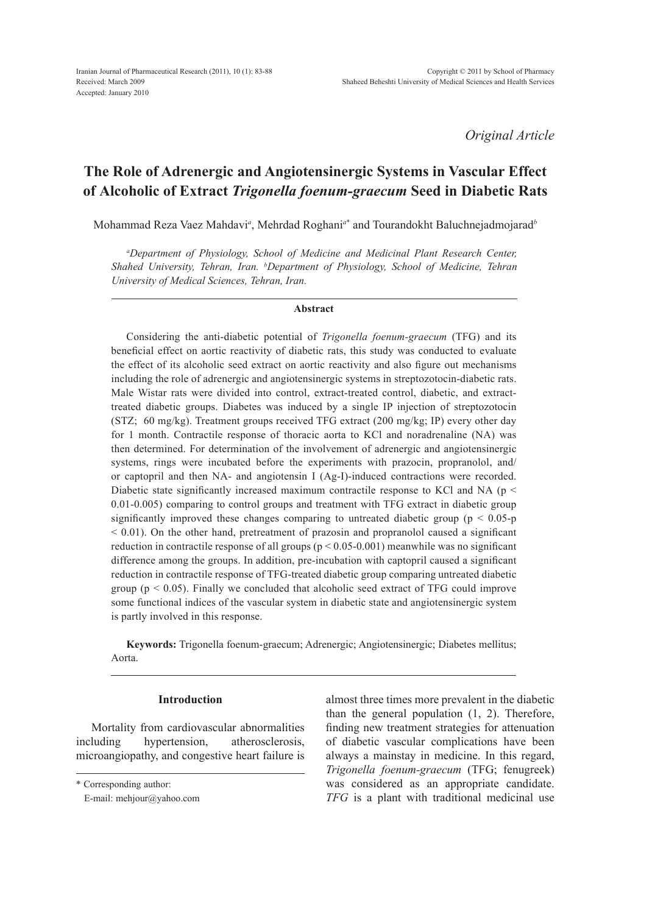*Original Article*

# **The Role of Adrenergic and Angiotensinergic Systems in Vascular Effect of Alcoholic of Extract** *Trigonella foenum-graecum* **Seed in Diabetic Rats**

Mohammad Reza Vaez Mahdavi*<sup>a</sup>* , Mehrdad Roghani*<sup>a</sup>*\* and Tourandokht Baluchnejadmojarad*<sup>b</sup>*

*a Department of Physiology, School of Medicine and Medicinal Plant Research Center, Shahed University, Tehran, Iran. b Department of Physiology, School of Medicine, Tehran University of Medical Sciences, Tehran, Iran.*

# **Abstract**

Considering the anti-diabetic potential of *Trigonella foenum-graecum* (TFG) and its beneficial effect on aortic reactivity of diabetic rats, this study was conducted to evaluate the effect of its alcoholic seed extract on aortic reactivity and also figure out mechanisms including the role of adrenergic and angiotensinergic systems in streptozotocin-diabetic rats. Male Wistar rats were divided into control, extract-treated control, diabetic, and extracttreated diabetic groups. Diabetes was induced by a single IP injection of streptozotocin (STZ; 60 mg/kg). Treatment groups received TFG extract (200 mg/kg; IP) every other day for 1 month. Contractile response of thoracic aorta to KCl and noradrenaline (NA) was then determined. For determination of the involvement of adrenergic and angiotensinergic systems, rings were incubated before the experiments with prazocin, propranolol, and/ or captopril and then NA- and angiotensin I (Ag-I)-induced contractions were recorded. Diabetic state significantly increased maximum contractile response to KCl and NA ( $p \le$ 0.01-0.005) comparing to control groups and treatment with TFG extract in diabetic group significantly improved these changes comparing to untreated diabetic group ( $p < 0.05-p$ )  $< 0.01$ ). On the other hand, pretreatment of prazosin and propranolol caused a significant reduction in contractile response of all groups ( $p < 0.05$ -0.001) meanwhile was no significant difference among the groups. In addition, pre-incubation with captopril caused a significant reduction in contractile response of TFG-treated diabetic group comparing untreated diabetic group ( $p < 0.05$ ). Finally we concluded that alcoholic seed extract of TFG could improve some functional indices of the vascular system in diabetic state and angiotensinergic system is partly involved in this response.

**Keywords:** Trigonella foenum-graecum; Adrenergic; Angiotensinergic; Diabetes mellitus; Aorta.

# **Introduction**

Mortality from cardiovascular abnormalities including hypertension, atherosclerosis, microangiopathy, and congestive heart failure is almost three times more prevalent in the diabetic than the general population (1, 2). Therefore, finding new treatment strategies for attenuation of diabetic vascular complications have been always a mainstay in medicine. In this regard, *Trigonella foenum-graecum* (TFG; fenugreek) was considered as an appropriate candidate. *TFG* is a plant with traditional medicinal use

<sup>\*</sup> Corresponding author:

E-mail: mehjour@yahoo.com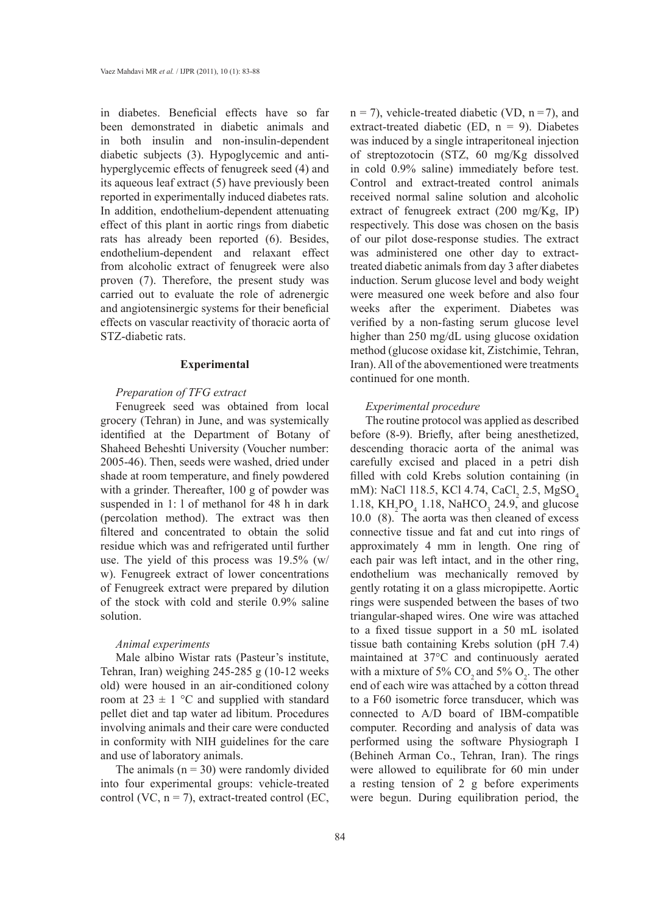in diabetes. Beneficial effects have so far been demonstrated in diabetic animals and in both insulin and non-insulin-dependent diabetic subjects (3). Hypoglycemic and antihyperglycemic effects of fenugreek seed (4) and its aqueous leaf extract (5) have previously been reported in experimentally induced diabetes rats. In addition, endothelium-dependent attenuating effect of this plant in aortic rings from diabetic rats has already been reported (6). Besides, endothelium-dependent and relaxant effect from alcoholic extract of fenugreek were also proven (7). Therefore, the present study was carried out to evaluate the role of adrenergic and angiotensinergic systems for their beneficial effects on vascular reactivity of thoracic aorta of STZ-diabetic rats.

# **Experimental**

#### *Preparation of TFG extract*

Fenugreek seed was obtained from local grocery (Tehran) in June, and was systemically identified at the Department of Botany of Shaheed Beheshti University (Voucher number: 2005-46). Then, seeds were washed, dried under shade at room temperature, and finely powdered with a grinder. Thereafter, 100 g of powder was suspended in 1: l of methanol for 48 h in dark (percolation method). The extract was then filtered and concentrated to obtain the solid residue which was and refrigerated until further use. The yield of this process was 19.5% (w/ w). Fenugreek extract of lower concentrations of Fenugreek extract were prepared by dilution of the stock with cold and sterile 0.9% saline solution.

# *Animal experiments*

Male albino Wistar rats (Pasteur's institute, Tehran, Iran) weighing 245-285 g (10-12 weeks old) were housed in an air-conditioned colony room at  $23 \pm 1$  °C and supplied with standard pellet diet and tap water ad libitum. Procedures involving animals and their care were conducted in conformity with NIH guidelines for the care and use of laboratory animals.

The animals  $(n = 30)$  were randomly divided into four experimental groups: vehicle-treated control (VC,  $n = 7$ ), extract-treated control (EC,  $n = 7$ ), vehicle-treated diabetic (VD,  $n = 7$ ), and extract-treated diabetic (ED,  $n = 9$ ). Diabetes was induced by a single intraperitoneal injection of streptozotocin (STZ, 60 mg/Kg dissolved in cold 0.9% saline) immediately before test. Control and extract-treated control animals received normal saline solution and alcoholic extract of fenugreek extract (200 mg/Kg, IP) respectively. This dose was chosen on the basis of our pilot dose-response studies. The extract was administered one other day to extracttreated diabetic animals from day 3 after diabetes induction. Serum glucose level and body weight were measured one week before and also four weeks after the experiment. Diabetes was verified by a non-fasting serum glucose level higher than 250 mg/dL using glucose oxidation method (glucose oxidase kit, Zistchimie, Tehran, Iran). All of the abovementioned were treatments continued for one month.

#### *Experimental procedure*

The routine protocol was applied as described before (8-9). Briefly, after being anesthetized, descending thoracic aorta of the animal was carefully excised and placed in a petri dish filled with cold Krebs solution containing (in mM): NaCl 118.5, KCl 4.74, CaCl<sub>2</sub> 2.5, MgSO<sub>4</sub> 1.18,  $KH_2PO_4$  1.18, NaHCO<sub>3</sub> 24.9, and glucose 10.0 (8). The aorta was then cleaned of excess connective tissue and fat and cut into rings of approximately 4 mm in length. One ring of each pair was left intact, and in the other ring, endothelium was mechanically removed by gently rotating it on a glass micropipette. Aortic rings were suspended between the bases of two triangular-shaped wires. One wire was attached to a fixed tissue support in a 50 mL isolated tissue bath containing Krebs solution (pH 7.4) maintained at 37°C and continuously aerated with a mixture of 5%  $CO_2$  and 5%  $O_2$ . The other end of each wire was attached by a cotton thread to a F60 isometric force transducer, which was connected to A/D board of IBM-compatible computer. Recording and analysis of data was performed using the software Physiograph I (Behineh Arman Co., Tehran, Iran). The rings were allowed to equilibrate for 60 min under a resting tension of 2 g before experiments were begun. During equilibration period, the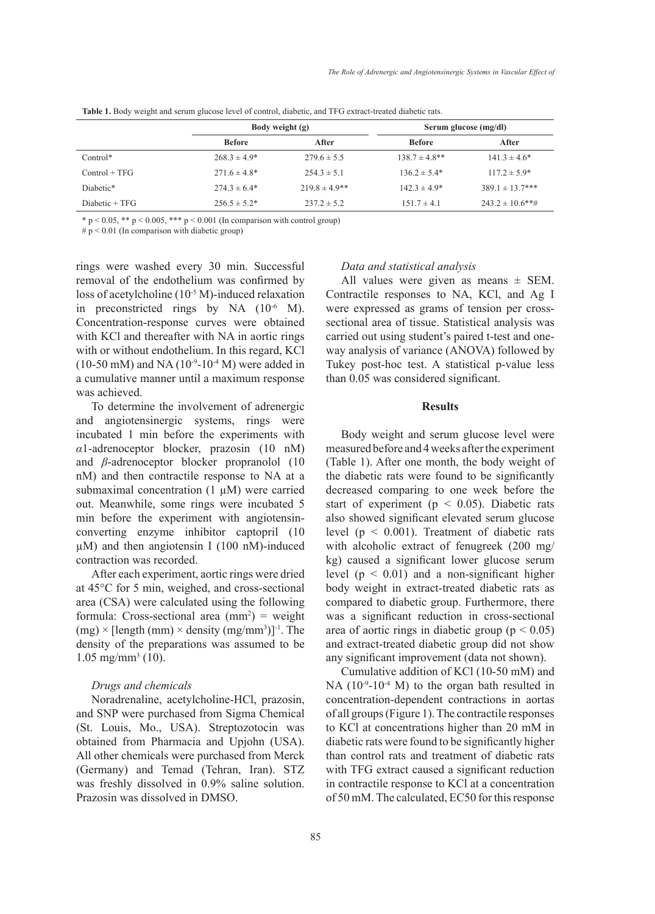|                 | Body weight (g)   |                   | Serum glucose (mg/dl) |                      |
|-----------------|-------------------|-------------------|-----------------------|----------------------|
|                 | <b>Before</b>     | After             | <b>Before</b>         | After                |
| $Control*$      | $268.3 \pm 4.9*$  | $279.6 \pm 5.5$   | $138.7 \pm 4.8$ **    | $141.3 \pm 4.6^*$    |
| $Control + TFG$ | $271.6 \pm 4.8^*$ | $254.3 \pm 5.1$   | $136.2 \pm 5.4*$      | $117.2 \pm 5.9^*$    |
| Diabetic*       | $274.3 \pm 6.4*$  | $219.8 \pm 4.9**$ | $142.3 \pm 4.9*$      | $389.1 \pm 13.7$ *** |
| Diabetic + TFG  | $256.5 \pm 5.2^*$ | $237.2 \pm 5.2$   | $151.7 \pm 4.1$       | $243.2 \pm 10.6$ **# |

**Table 1.** Body weight and serum glucose level of control, diabetic, and TFG extract-treated diabetic rats.

\* p < 0.05, \*\* p < 0.005, \*\*\* p < 0.001 (In comparison with control group)

 $# p < 0.01$  (In comparison with diabetic group)

rings were washed every 30 min. Successful removal of the endothelium was confirmed by loss of acetylcholine (10<sup>-5</sup> M)-induced relaxation in preconstricted rings by NA  $(10^{-6}$  M). Concentration-response curves were obtained with KCl and thereafter with NA in aortic rings with or without endothelium. In this regard, KCl  $(10-50 \text{ mM})$  and NA  $(10^{-9}-10^{-4} \text{ M})$  were added in a cumulative manner until a maximum response was achieved.

To determine the involvement of adrenergic and angiotensinergic systems, rings were incubated 1 min before the experiments with *α*1-adrenoceptor blocker, prazosin (10 nM) and *β*-adrenoceptor blocker propranolol (10 nM) and then contractile response to NA at a submaximal concentration (1  $\mu$ M) were carried out. Meanwhile, some rings were incubated 5 min before the experiment with angiotensinconverting enzyme inhibitor captopril (10  $\mu$ M) and then angiotensin I (100 nM)-induced contraction was recorded.

After each experiment, aortic rings were dried at 45°C for 5 min, weighed, and cross-sectional area (CSA) were calculated using the following formula: Cross-sectional area  $(mm^2)$  = weight  $(mg) \times$  [length  $(mm) \times$  density  $(mg/mm^3)$ ]<sup>-1</sup>. The density of the preparations was assumed to be  $1.05$  mg/mm<sup>3</sup> (10).

# *Drugs and chemicals*

Noradrenaline, acetylcholine-HCl, prazosin, and SNP were purchased from Sigma Chemical (St. Louis, Mo., USA). Streptozotocin was obtained from Pharmacia and Upjohn (USA). All other chemicals were purchased from Merck (Germany) and Temad (Tehran, Iran). STZ was freshly dissolved in 0.9% saline solution. Prazosin was dissolved in DMSO.

*Data and statistical analysis*

All values were given as means  $\pm$  SEM. Contractile responses to NA, KCl, and Ag I were expressed as grams of tension per crosssectional area of tissue. Statistical analysis was carried out using student's paired t-test and oneway analysis of variance (ANOVA) followed by Tukey post-hoc test. A statistical p-value less than 0.05 was considered significant.

## **Results**

Body weight and serum glucose level were measured before and 4 weeks after the experiment (Table 1). After one month, the body weight of the diabetic rats were found to be significantly decreased comparing to one week before the start of experiment ( $p < 0.05$ ). Diabetic rats also showed significant elevated serum glucose level ( $p < 0.001$ ). Treatment of diabetic rats with alcoholic extract of fenugreek (200 mg/ kg) caused a significant lower glucose serum level  $(p < 0.01)$  and a non-significant higher body weight in extract-treated diabetic rats as compared to diabetic group. Furthermore, there was a significant reduction in cross-sectional area of aortic rings in diabetic group ( $p < 0.05$ ) and extract-treated diabetic group did not show any significant improvement (data not shown).

Cumulative addition of KCl (10-50 mM) and NA (10<sup>-9</sup>-10<sup>-4</sup> M) to the organ bath resulted in concentration-dependent contractions in aortas of all groups (Figure 1). The contractile responses to KCl at concentrations higher than 20 mM in diabetic rats were found to be significantly higher than control rats and treatment of diabetic rats with TFG extract caused a significant reduction in contractile response to KCl at a concentration of 50 mM. The calculated, EC50 for this response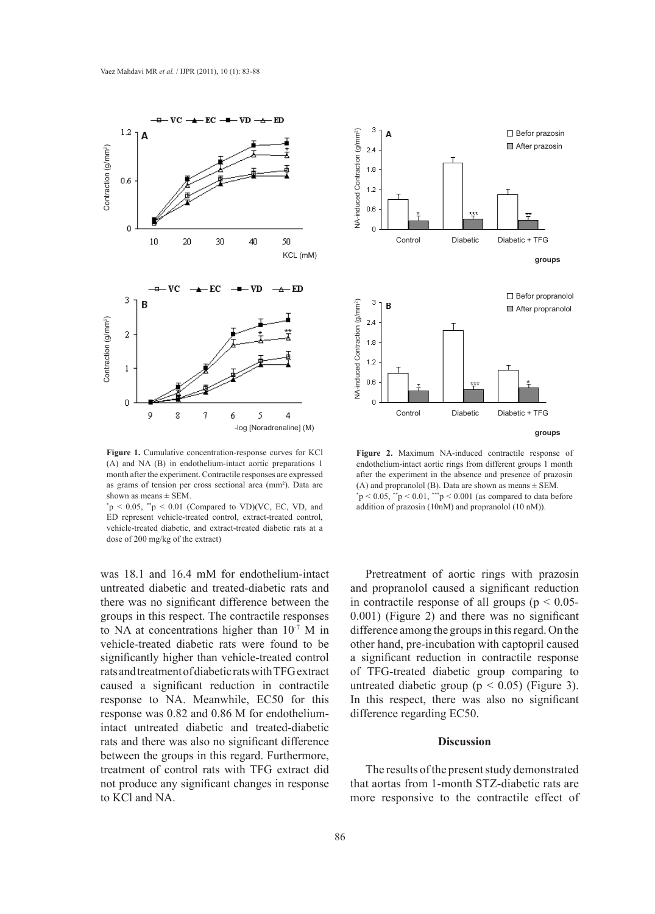

month after the experiment. Contractile responses are expressed after the experiment in the absence and pres **Figure 1.** Cumulative concentration-response curves for KCl **Figure 2.** Maximum NA-induced contract (A) and NA (B) in endothelium-intact earties representing the conditional contract earties when different as grams of tension per cross sectional area (mm<sup>2</sup>). Data are (A) and NA (B) in endothelium-intact aortic preparations 1 shown as means  $\pm$  SEM.

 $p < 0.05$ ,  $p > 0.01$  (Compared to VD)(VC, EC, VD, and<br>ED represent vehicle-treated control, extract-treated control,<br>vehicle-treated diabetic, and extract-treated diabetic rats at a dose of 200 mg/kg of the extract)  $P \sim 0.05$ ,  $P \sim 0.01$  (compared to  $VD/(VC, EC, VD, and ED$  represent vehicle-treated control, extract-treated control,  $\alpha$  and  $\alpha$  and  $\alpha$  and  $\alpha$ p  $\alpha$  and  $\alpha$  as  $\alpha$  and  $\alpha$  and  $\alpha$  and  $\alpha$  and  $\alpha$  and  $\alpha$  and  $\alpha$  and  $\alpha$  and  $\alpha$  and  $\alpha$  and  $\alpha$  and  $\alpha$  and  $\alpha$  and  $\alpha$  and  $\alpha$  and  $\alpha$  and  $\alpha$  and  $\alpha$  and  $\alpha$  and  $\alpha$  and  $\alpha$  and  $\alpha$  and  $\alpha$  $p_0(x, \text{LC}, \text{VC}, \text{MC})$  and  $p_0(x, \text{LC}, \text{NC})$  and  $p_0(x, \text{LC}, \text{NC})$  and  $p_0(x, \text{LC})$ .

> was 18.1 and 16.4 mM for endothelium-intact untreated diabetic and treated-diabetic rats and there was no significant difference between the groups in this respect. The contractile responses to NA at concentrations higher than 10-7 M in vehicle-treated diabetic rats were found to be significantly higher than vehicle-treated control rats and treatment of diabetic rats with TFG extract caused a significant reduction in contractile response to NA. Meanwhile, EC50 for this response was 0.82 and 0.86 M for endotheliumintact untreated diabetic and treated-diabetic rats and there was also no significant difference between the groups in this regard. Furthermore, treatment of control rats with TFG extract did not produce any significant changes in response to KCl and NA.



as grams of tension per cross sectional area (mm-). Data are<br>shown as means  $\pm$  SEM.<br> $p < 0.05$ ,  $\text{*p} < 0.01$ ,  $\text{**p} < 0.001$  (as compared to data before as grams of tension per cross sectional area (mm<sup>2</sup>). Data are (A) and propranolol (B). Data are shown as means  $\pm$  SEM.<br>
\* p < 0.05, \*\*p < 0.01 (Compared to VD)(VC, EC, VD, and addition of prazosin (10nM) and propranolo VD)(VC, EC, VD, and addition of prazosin (10nM) and propranolol (10 nM)). responses are expressed after the experiment in the absence and presence of prazosin al area (mm<sup>2</sup>). Data are (A) and propranolol (B). Data are shown as means  $\pm$  SEM. **Figure 2.** Maximum NA-induced contractile response of endothelium-intact aortic rings from different groups 1 month

Pretreatment of aortic rings with prazosin and propranolol caused a significant reduction in contractile response of all groups ( $p < 0.05$ -0.001) (Figure 2) and there was no significant difference among the groups in this regard. On the other hand, pre-incubation with captopril caused a significant reduction in contractile response of TFG-treated diabetic group comparing to untreated diabetic group ( $p < 0.05$ ) (Figure 3). In this respect, there was also no significant difference regarding EC50.

# **Discussion**

The results of the present study demonstrated that aortas from 1-month STZ-diabetic rats are more responsive to the contractile effect of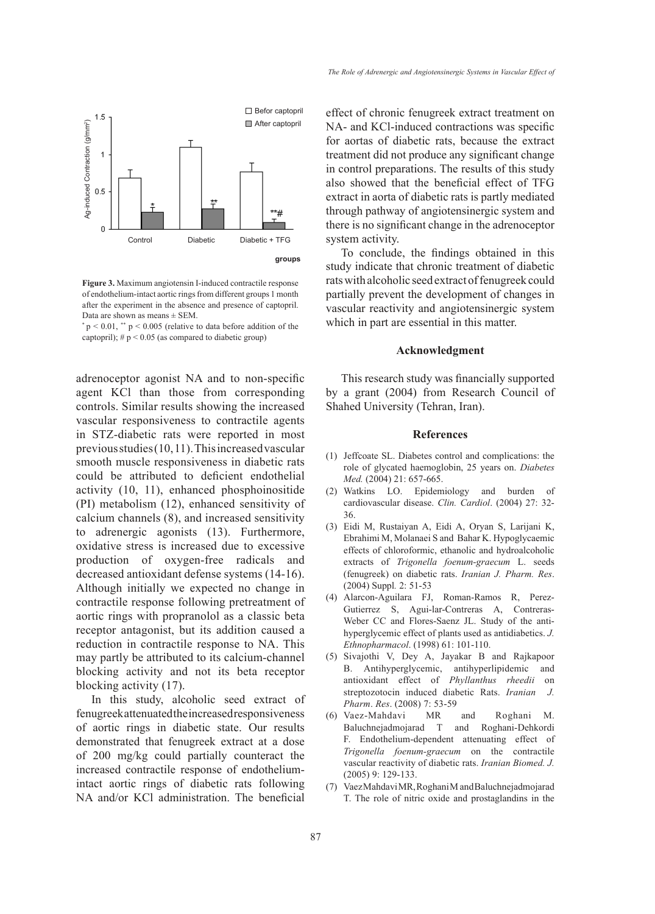

Figure 3. **Experiment in the absence and presence** of captopril. The experiment in the absence and presence of captopril. Data are shown as means  $\pm$  SEM. **Figure 3.** Maximum angiotensin I-induced contractile response of endothelium-intact aortic rings from different groups 1 month

 $p < 0.01$ , \*\*  $p < 0.005$  (relative to data before addition of the captopril);  $# p < 0.05$  (as compared to diabetic group)

> adrenoceptor agonist NA and to non-specific agent KCl than those from corresponding controls. Similar results showing the increased vascular responsiveness to contractile agents in STZ-diabetic rats were reported in most previous studies (10, 11). This increased vascular smooth muscle responsiveness in diabetic rats could be attributed to deficient endothelial activity (10, 11), enhanced phosphoinositide (PI) metabolism (12), enhanced sensitivity of calcium channels (8), and increased sensitivity to adrenergic agonists (13). Furthermore, oxidative stress is increased due to excessive production of oxygen-free radicals and decreased antioxidant defense systems (14-16). Although initially we expected no change in contractile response following pretreatment of aortic rings with propranolol as a classic beta receptor antagonist, but its addition caused a reduction in contractile response to NA. This may partly be attributed to its calcium-channel blocking activity and not its beta receptor blocking activity (17).

> In this study, alcoholic seed extract of fenugreek attenuated the increased responsiveness of aortic rings in diabetic state. Our results demonstrated that fenugreek extract at a dose of 200 mg/kg could partially counteract the increased contractile response of endotheliumintact aortic rings of diabetic rats following NA and/or KCl administration. The beneficial

effect of chronic fenugreek extract treatment on NA- and KCl-induced contractions was specific for aortas of diabetic rats, because the extract treatment did not produce any significant change in control preparations. The results of this study also showed that the beneficial effect of TFG extract in aorta of diabetic rats is partly mediated through pathway of angiotensinergic system and there is no significant change in the adrenoceptor system activity.

To conclude, the findings obtained in this study indicate that chronic treatment of diabetic rats with alcoholic seed extract of fenugreek could partially prevent the development of changes in vascular reactivity and angiotensinergic system which in part are essential in this matter.

#### **Acknowledgment**

This research study was financially supported by a grant (2004) from Research Council of Shahed University (Tehran, Iran).

### **References**

- (1) Jeffcoate SL. Diabetes control and complications: the role of glycated haemoglobin, 25 years on. *Diabetes Med.* (2004) 21: 657-665.
- Watkins LO. Epidemiology and burden of (2) cardiovascular disease. *Clin. Cardiol*. (2004) 27: 32- 36.
- Eidi M, Rustaiyan A, Eidi A, Oryan S, Larijani K, (3) Ebrahimi M, Molanaei S and Bahar K. Hypoglycaemic effects of chloroformic, ethanolic and hydroalcoholic extracts of *Trigonella foenum-graecum* L. seeds (fenugreek) on diabetic rats. *Iranian J. Pharm. Res*. (2004) Suppl*.* 2: 51-53
- Alarcon-Aguilara FJ, Roman-Ramos R, Perez-(4) Gutierrez S, Agui-lar-Contreras A, Contreras-Weber CC and Flores-Saenz JL. Study of the antihyperglycemic effect of plants used as antidiabetics. *J. Ethnopharmacol*. (1998) 61: 101-110.
- Sivajothi V, Dey A, Jayakar B and Rajkapoor (5) B. Antihyperglycemic, antihyperlipidemic and antioxidant effect of *Phyllanthus rheedii* on streptozotocin induced diabetic Rats. *Iranian J. Pharm*. *Res*. (2008) 7: 53-59
- (6) Vaez-Mahdavi MR and Roghani M. Baluchnejadmojarad T and Roghani-Dehkordi F. Endothelium-dependent attenuating effect of *Trigonella foenum-graecum* on the contractile vascular reactivity of diabetic rats. *Iranian Biomed. J.* (2005) 9: 129-133.
- (7) Vaez Mahdavi MR, Roghani M and Baluchnejadmojarad T. The role of nitric oxide and prostaglandins in the